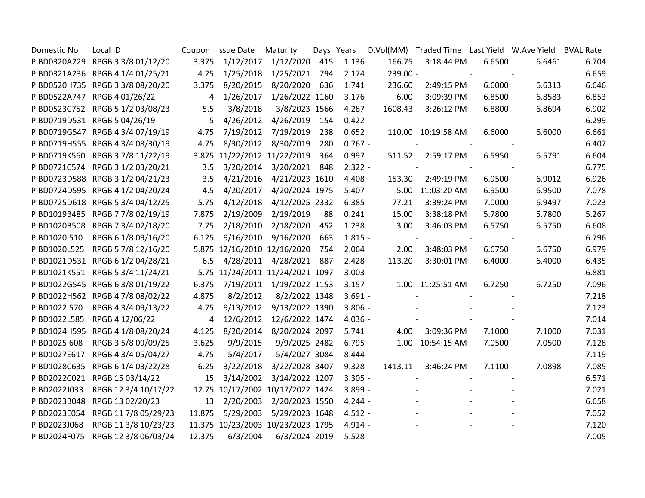| Domestic No  | Local ID                          |        | Coupon Issue Date                 | Maturity                 | Days Years |           |          |                    |                          | D.Vol(MM) Traded Time Last Yield W.Ave Yield BVAL Rate |       |
|--------------|-----------------------------------|--------|-----------------------------------|--------------------------|------------|-----------|----------|--------------------|--------------------------|--------------------------------------------------------|-------|
|              | PIBD0320A229 RPGB 3 3/8 01/12/20  | 3.375  | 1/12/2017                         | 1/12/2020                | 415        | 1.136     | 166.75   | 3:18:44 PM         | 6.6500                   | 6.6461                                                 | 6.704 |
|              | PIBD0321A236 RPGB 4 1/4 01/25/21  | 4.25   | 1/25/2018                         | 1/25/2021                | 794        | 2.174     | 239.00 - |                    | $\overline{\phantom{a}}$ |                                                        | 6.659 |
|              | PIBD0520H735 RPGB 3 3/8 08/20/20  | 3.375  | 8/20/2015                         | 8/20/2020                | 636        | 1.741     | 236.60   | 2:49:15 PM         | 6.6000                   | 6.6313                                                 | 6.646 |
|              | PIBD0522A747 RPGB 4 01/26/22      | 4      | 1/26/2017                         | 1/26/2022 1160           |            | 3.176     | 6.00     | 3:09:39 PM         | 6.8500                   | 6.8583                                                 | 6.853 |
|              | PIBD0523C752 RPGB 5 1/2 03/08/23  | 5.5    | 3/8/2018                          | 3/8/2023 1566            |            | 4.287     | 1608.43  | 3:26:12 PM         | 6.8800                   | 6.8694                                                 | 6.902 |
|              | PIBD0719D531 RPGB 5 04/26/19      | 5      | 4/26/2012                         | 4/26/2019                | 154        | $0.422 -$ |          |                    |                          |                                                        | 6.299 |
|              | PIBD0719G547 RPGB 4 3/4 07/19/19  | 4.75   | 7/19/2012                         | 7/19/2019                | 238        | 0.652     |          | 110.00 10:19:58 AM | 6.6000                   | 6.6000                                                 | 6.661 |
|              | PIBD0719H555 RPGB 4 3/4 08/30/19  | 4.75   | 8/30/2012                         | 8/30/2019                | 280        | $0.767 -$ |          |                    |                          |                                                        | 6.407 |
|              | PIBD0719K560 RPGB 3 7/8 11/22/19  |        | 3.875 11/22/2012 11/22/2019       |                          | 364        | 0.997     | 511.52   | 2:59:17 PM         | 6.5950                   | 6.5791                                                 | 6.604 |
|              | PIBD0721C574 RPGB 3 1/2 03/20/21  | 3.5    |                                   | 3/20/2014 3/20/2021      | 848        | $2.322 -$ |          |                    |                          |                                                        | 6.775 |
|              | PIBD0723D588 RPGB 3 1/2 04/21/23  | 3.5    | 4/21/2016                         | 4/21/2023 1610           |            | 4.408     | 153.30   | 2:49:19 PM         | 6.9500                   | 6.9012                                                 | 6.926 |
|              | PIBD0724D595 RPGB 4 1/2 04/20/24  | 4.5    | 4/20/2017                         | 4/20/2024 1975           |            | 5.407     |          | 5.00 11:03:20 AM   | 6.9500                   | 6.9500                                                 | 7.078 |
|              | PIBD0725D618 RPGB 5 3/4 04/12/25  | 5.75   |                                   | 4/12/2018 4/12/2025 2332 |            | 6.385     | 77.21    | 3:39:24 PM         | 7.0000                   | 6.9497                                                 | 7.023 |
|              | PIBD1019B485 RPGB 7 7/8 02/19/19  | 7.875  |                                   | 2/19/2009 2/19/2019      | 88         | 0.241     | 15.00    | 3:38:18 PM         | 5.7800                   | 5.7800                                                 | 5.267 |
|              | PIBD1020B508 RPGB 7 3/4 02/18/20  | 7.75   |                                   | 2/18/2010 2/18/2020      | 452        | 1.238     | 3.00     | 3:46:03 PM         | 6.5750                   | 6.5750                                                 | 6.608 |
| PIBD1020I510 | RPGB 6 1/8 09/16/20               | 6.125  | 9/16/2010                         | 9/16/2020                | 663        | $1.815 -$ |          |                    |                          |                                                        | 6.796 |
|              | PIBD1020L525 RPGB 5 7/8 12/16/20  |        | 5.875 12/16/2010 12/16/2020       |                          | 754        | 2.064     | 2.00     | 3:48:03 PM         | 6.6750                   | 6.6750                                                 | 6.979 |
|              | PIBD1021D531 RPGB 6 1/2 04/28/21  | 6.5    | 4/28/2011                         | 4/28/2021                | 887        | 2.428     | 113.20   | 3:30:01 PM         | 6.4000                   | 6.4000                                                 | 6.435 |
|              | PIBD1021K551 RPGB 5 3/4 11/24/21  |        | 5.75 11/24/2011 11/24/2021 1097   |                          |            | $3.003 -$ |          |                    |                          |                                                        | 6.881 |
|              | PIBD1022G545 RPGB 6 3/8 01/19/22  | 6.375  |                                   | 7/19/2011 1/19/2022 1153 |            | 3.157     |          | 1.00 11:25:51 AM   | 6.7250                   | 6.7250                                                 | 7.096 |
|              | PIBD1022H562 RPGB 4 7/8 08/02/22  | 4.875  | 8/2/2012                          | 8/2/2022 1348            |            | $3.691 -$ |          |                    |                          |                                                        | 7.218 |
| PIBD1022I570 | RPGB 4 3/4 09/13/22               | 4.75   | 9/13/2012                         | 9/13/2022 1390           |            | $3.806 -$ |          |                    |                          |                                                        | 7.123 |
|              | PIBD1022L585 RPGB 4 12/06/22      | 4      | 12/6/2012                         | 12/6/2022 1474           |            | $4.036 -$ |          |                    |                          |                                                        | 7.014 |
|              | PIBD1024H595 RPGB 4 1/8 08/20/24  | 4.125  |                                   | 8/20/2014 8/20/2024 2097 |            | 5.741     | 4.00     | 3:09:36 PM         | 7.1000                   | 7.1000                                                 | 7.031 |
| PIBD10251608 | RPGB 3 5/8 09/09/25               | 3.625  | 9/9/2015                          | 9/9/2025 2482            |            | 6.795     |          | 1.00 10:54:15 AM   | 7.0500                   | 7.0500                                                 | 7.128 |
|              | PIBD1027E617 RPGB 4 3/4 05/04/27  | 4.75   | 5/4/2017                          | 5/4/2027 3084            |            | $8.444 -$ |          |                    |                          |                                                        | 7.119 |
|              | PIBD1028C635 RPGB 6 1/4 03/22/28  | 6.25   | 3/22/2018                         | 3/22/2028 3407           |            | 9.328     | 1413.11  | 3:46:24 PM         | 7.1100                   | 7.0898                                                 | 7.085 |
|              | PIBD2022C021 RPGB 15 03/14/22     | 15     | 3/14/2002                         | 3/14/2022 1207           |            | $3.305 -$ |          |                    |                          |                                                        | 6.571 |
| PIBD2022J033 | RPGB 12 3/4 10/17/22              |        | 12.75 10/17/2002 10/17/2022 1424  |                          |            | $3.899 -$ |          |                    |                          |                                                        | 7.021 |
|              | PIBD2023B048 RPGB 13 02/20/23     | 13     | 2/20/2003                         | 2/20/2023 1550           |            | $4.244 -$ |          |                    |                          |                                                        | 6.658 |
|              | PIBD2023E054 RPGB 11 7/8 05/29/23 | 11.875 | 5/29/2003                         | 5/29/2023 1648           |            | $4.512 -$ |          |                    |                          |                                                        | 7.052 |
| PIBD2023J068 | RPGB 11 3/8 10/23/23              |        | 11.375 10/23/2003 10/23/2023 1795 |                          |            | $4.914 -$ |          |                    |                          |                                                        | 7.120 |
|              | PIBD2024F075 RPGB 12 3/8 06/03/24 | 12.375 | 6/3/2004                          | 6/3/2024 2019            |            | $5.528 -$ |          |                    |                          |                                                        | 7.005 |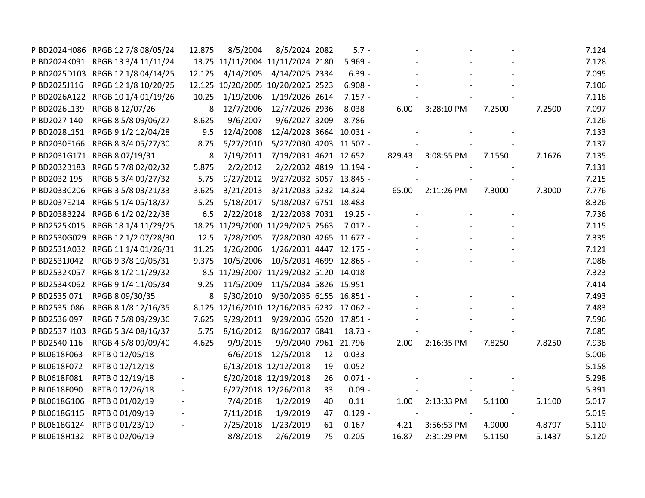|              | PIBD2024H086 RPGB 12 7/8 08/05/24 | 12.875 | 8/5/2004                                  | 8/5/2024 2082                     |    | $5.7 -$   |        |            |        |        | 7.124 |
|--------------|-----------------------------------|--------|-------------------------------------------|-----------------------------------|----|-----------|--------|------------|--------|--------|-------|
|              | PIBD2024K091 RPGB 13 3/4 11/11/24 |        | 13.75 11/11/2004 11/11/2024 2180          |                                   |    | $5.969 -$ |        |            |        |        | 7.128 |
|              | PIBD2025D103 RPGB 12 1/8 04/14/25 | 12.125 | 4/14/2005                                 | 4/14/2025 2334                    |    | $6.39 -$  |        |            |        |        | 7.095 |
| PIBD2025J116 | RPGB 12 1/8 10/20/25              |        | 12.125 10/20/2005 10/20/2025 2523         |                                   |    | $6.908 -$ |        |            |        |        | 7.106 |
|              | PIBD2026A122 RPGB 10 1/4 01/19/26 | 10.25  | 1/19/2006                                 | 1/19/2026 2614                    |    | $7.157 -$ |        |            |        |        | 7.118 |
| PIBD2026L139 | RPGB 8 12/07/26                   | 8      | 12/7/2006                                 | 12/7/2026 2936                    |    | 8.038     | 6.00   | 3:28:10 PM | 7.2500 | 7.2500 | 7.097 |
| PIBD2027I140 | RPGB 8 5/8 09/06/27               | 8.625  | 9/6/2007                                  | 9/6/2027 3209                     |    | $8.786 -$ |        |            |        |        | 7.126 |
| PIBD2028L151 | RPGB 9 1/2 12/04/28               | 9.5    | 12/4/2008                                 | 12/4/2028 3664 10.031 -           |    |           |        |            |        |        | 7.133 |
| PIBD2030E166 | RPGB 8 3/4 05/27/30               | 8.75   | 5/27/2010                                 | 5/27/2030 4203 11.507 -           |    |           |        |            |        |        | 7.137 |
|              | PIBD2031G171 RPGB 8 07/19/31      | 8      | 7/19/2011                                 | 7/19/2031 4621 12.652             |    |           | 829.43 | 3:08:55 PM | 7.1550 | 7.1676 | 7.135 |
|              | PIBD2032B183 RPGB 5 7/8 02/02/32  | 5.875  | 2/2/2012                                  | 2/2/2032 4819 13.194 -            |    |           |        |            |        |        | 7.131 |
| PIBD2032I195 | RPGB 5 3/4 09/27/32               | 5.75   |                                           | 9/27/2012 9/27/2032 5057 13.845 - |    |           |        |            |        |        | 7.215 |
|              | PIBD2033C206 RPGB 3 5/8 03/21/33  | 3.625  | 3/21/2013                                 | 3/21/2033 5232 14.324             |    |           | 65.00  | 2:11:26 PM | 7.3000 | 7.3000 | 7.776 |
| PIBD2037E214 | RPGB 5 1/4 05/18/37               | 5.25   | 5/18/2017                                 | 5/18/2037 6751 18.483 -           |    |           |        |            |        |        | 8.326 |
|              | PIBD2038B224 RPGB 6 1/2 02/22/38  | 6.5    | 2/22/2018                                 | 2/22/2038 7031                    |    | $19.25 -$ |        |            |        |        | 7.736 |
|              | PIBD2525K015 RPGB 18 1/4 11/29/25 |        | 18.25 11/29/2000 11/29/2025 2563          |                                   |    | $7.017 -$ |        |            |        |        | 7.115 |
|              | PIBD2530G029 RPGB 12 1/2 07/28/30 | 12.5   | 7/28/2005                                 | 7/28/2030 4265 11.677 -           |    |           |        |            |        |        | 7.335 |
|              | PIBD2531A032 RPGB 11 1/4 01/26/31 | 11.25  | 1/26/2006                                 | 1/26/2031 4447 12.175 -           |    |           |        |            |        |        | 7.121 |
| PIBD2531J042 | RPGB 9 3/8 10/05/31               | 9.375  | 10/5/2006                                 | 10/5/2031 4699 12.865 -           |    |           |        |            |        |        | 7.086 |
| PIBD2532K057 | RPGB 8 1/2 11/29/32               |        | 8.5 11/29/2007 11/29/2032 5120 14.018 -   |                                   |    |           |        |            |        |        | 7.323 |
| PIBD2534K062 | RPGB 9 1/4 11/05/34               | 9.25   | 11/5/2009                                 | 11/5/2034 5826 15.951 -           |    |           |        |            |        |        | 7.414 |
| PIBD2535I071 | RPGB 8 09/30/35                   | 8      | 9/30/2010                                 | 9/30/2035 6155 16.851 -           |    |           |        |            |        |        | 7.493 |
| PIBD2535L086 | RPGB 8 1/8 12/16/35               |        | 8.125 12/16/2010 12/16/2035 6232 17.062 - |                                   |    |           |        |            |        |        | 7.483 |
| PIBD2536I097 | RPGB 7 5/8 09/29/36               | 7.625  |                                           | 9/29/2011 9/29/2036 6520 17.851 - |    |           |        |            |        |        | 7.596 |
|              | PIBD2537H103 RPGB 5 3/4 08/16/37  | 5.75   | 8/16/2012                                 | 8/16/2037 6841                    |    | $18.73 -$ |        |            |        |        | 7.685 |
| PIBD2540I116 | RPGB 4 5/8 09/09/40               | 4.625  | 9/9/2015                                  | 9/9/2040 7961 21.796              |    |           | 2.00   | 2:16:35 PM | 7.8250 | 7.8250 | 7.938 |
| PIBL0618F063 | RPTB 0 12/05/18                   |        | 6/6/2018                                  | 12/5/2018                         | 12 | $0.033 -$ |        |            |        |        | 5.006 |
| PIBL0618F072 | RPTB 0 12/12/18                   |        |                                           | 6/13/2018 12/12/2018              | 19 | $0.052 -$ |        |            |        |        | 5.158 |
| PIBL0618F081 | RPTB 0 12/19/18                   |        |                                           | 6/20/2018 12/19/2018              | 26 | $0.071 -$ |        |            |        |        | 5.298 |
| PIBL0618F090 | RPTB 0 12/26/18                   |        |                                           | 6/27/2018 12/26/2018              | 33 | $0.09 -$  |        |            |        |        | 5.391 |
| PIBL0618G106 | RPTB 0 01/02/19                   |        | 7/4/2018                                  | 1/2/2019                          | 40 | 0.11      | 1.00   | 2:13:33 PM | 5.1100 | 5.1100 | 5.017 |
| PIBL0618G115 | RPTB 0 01/09/19                   |        | 7/11/2018                                 | 1/9/2019                          | 47 | $0.129 -$ |        |            |        |        | 5.019 |
| PIBL0618G124 | RPTB 0 01/23/19                   |        | 7/25/2018                                 | 1/23/2019                         | 61 | 0.167     | 4.21   | 3:56:53 PM | 4.9000 | 4.8797 | 5.110 |
|              | PIBL0618H132 RPTB 0 02/06/19      |        | 8/8/2018                                  | 2/6/2019                          | 75 | 0.205     | 16.87  | 2:31:29 PM | 5.1150 | 5.1437 | 5.120 |
|              |                                   |        |                                           |                                   |    |           |        |            |        |        |       |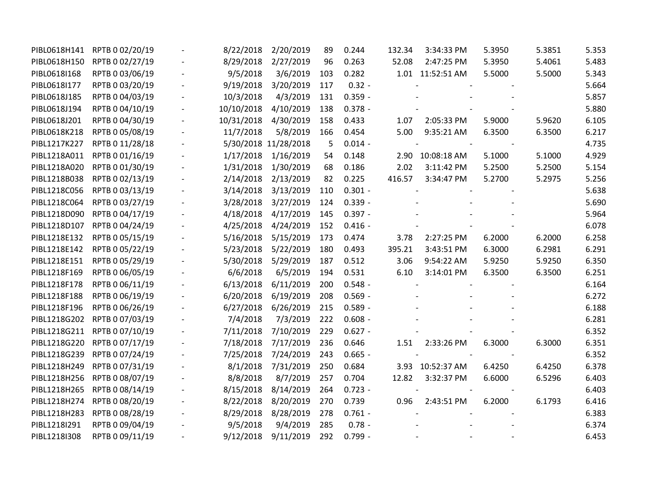| PIBL0618H141 | RPTB 0 02/20/19              | 8/22/2018  | 2/20/2019            | 89  | 0.244     | 132.34 | 3:34:33 PM       | 5.3950 | 5.3851 | 5.353 |
|--------------|------------------------------|------------|----------------------|-----|-----------|--------|------------------|--------|--------|-------|
| PIBL0618H150 | RPTB 0 02/27/19              | 8/29/2018  | 2/27/2019            | 96  | 0.263     | 52.08  | 2:47:25 PM       | 5.3950 | 5.4061 | 5.483 |
| PIBL0618I168 | RPTB 0 03/06/19              | 9/5/2018   | 3/6/2019             | 103 | 0.282     |        | 1.01 11:52:51 AM | 5.5000 | 5.5000 | 5.343 |
| PIBL0618I177 | RPTB 0 03/20/19              | 9/19/2018  | 3/20/2019            | 117 | $0.32 -$  |        |                  |        |        | 5.664 |
| PIBL0618J185 | RPTB 0 04/03/19              | 10/3/2018  | 4/3/2019             | 131 | $0.359 -$ |        |                  |        |        | 5.857 |
| PIBL0618J194 | RPTB 0 04/10/19              | 10/10/2018 | 4/10/2019            | 138 | $0.378 -$ |        |                  |        |        | 5.880 |
| PIBL0618J201 | RPTB 0 04/30/19              | 10/31/2018 | 4/30/2019            | 158 | 0.433     | 1.07   | 2:05:33 PM       | 5.9000 | 5.9620 | 6.105 |
| PIBL0618K218 | RPTB 0 05/08/19              | 11/7/2018  | 5/8/2019             | 166 | 0.454     | 5.00   | 9:35:21 AM       | 6.3500 | 6.3500 | 6.217 |
| PIBL1217K227 | RPTB 0 11/28/18              |            | 5/30/2018 11/28/2018 | 5   | $0.014 -$ |        |                  |        |        | 4.735 |
| PIBL1218A011 | RPTB 0 01/16/19              | 1/17/2018  | 1/16/2019            | 54  | 0.148     | 2.90   | 10:08:18 AM      | 5.1000 | 5.1000 | 4.929 |
| PIBL1218A020 | RPTB 0 01/30/19              | 1/31/2018  | 1/30/2019            | 68  | 0.186     | 2.02   | 3:11:42 PM       | 5.2500 | 5.2500 | 5.154 |
| PIBL1218B038 | RPTB 0 02/13/19              | 2/14/2018  | 2/13/2019            | 82  | 0.225     | 416.57 | 3:34:47 PM       | 5.2700 | 5.2975 | 5.256 |
| PIBL1218C056 | RPTB 0 03/13/19              | 3/14/2018  | 3/13/2019            | 110 | $0.301 -$ |        |                  |        |        | 5.638 |
| PIBL1218C064 | RPTB 0 03/27/19              | 3/28/2018  | 3/27/2019            | 124 | $0.339 -$ |        |                  |        |        | 5.690 |
| PIBL1218D090 | RPTB 0 04/17/19              | 4/18/2018  | 4/17/2019            | 145 | $0.397 -$ |        |                  |        |        | 5.964 |
| PIBL1218D107 | RPTB 0 04/24/19              | 4/25/2018  | 4/24/2019            | 152 | $0.416 -$ |        |                  |        |        | 6.078 |
| PIBL1218E132 | RPTB 0 05/15/19              | 5/16/2018  | 5/15/2019            | 173 | 0.474     | 3.78   | 2:27:25 PM       | 6.2000 | 6.2000 | 6.258 |
| PIBL1218E142 | RPTB 0 05/22/19              | 5/23/2018  | 5/22/2019            | 180 | 0.493     | 395.21 | 3:43:51 PM       | 6.3000 | 6.2981 | 6.291 |
| PIBL1218E151 | RPTB 0 05/29/19              | 5/30/2018  | 5/29/2019            | 187 | 0.512     | 3.06   | 9:54:22 AM       | 5.9250 | 5.9250 | 6.350 |
| PIBL1218F169 | RPTB 0 06/05/19              | 6/6/2018   | 6/5/2019             | 194 | 0.531     | 6.10   | 3:14:01 PM       | 6.3500 | 6.3500 | 6.251 |
| PIBL1218F178 | RPTB 0 06/11/19              | 6/13/2018  | 6/11/2019            | 200 | $0.548 -$ |        |                  |        |        | 6.164 |
| PIBL1218F188 | RPTB 0 06/19/19              | 6/20/2018  | 6/19/2019            | 208 | $0.569 -$ |        |                  |        |        | 6.272 |
| PIBL1218F196 | RPTB 0 06/26/19              | 6/27/2018  | 6/26/2019            | 215 | $0.589 -$ |        |                  |        |        | 6.188 |
| PIBL1218G202 | RPTB 0 07/03/19              | 7/4/2018   | 7/3/2019             | 222 | $0.608 -$ |        |                  |        |        | 6.281 |
|              | PIBL1218G211 RPTB 0 07/10/19 | 7/11/2018  | 7/10/2019            | 229 | $0.627 -$ |        |                  |        |        | 6.352 |
| PIBL1218G220 | RPTB 0 07/17/19              | 7/18/2018  | 7/17/2019            | 236 | 0.646     | 1.51   | 2:33:26 PM       | 6.3000 | 6.3000 | 6.351 |
| PIBL1218G239 | RPTB 0 07/24/19              | 7/25/2018  | 7/24/2019            | 243 | $0.665 -$ |        |                  |        |        | 6.352 |
| PIBL1218H249 | RPTB 0 07/31/19              | 8/1/2018   | 7/31/2019            | 250 | 0.684     |        | 3.93 10:52:37 AM | 6.4250 | 6.4250 | 6.378 |
| PIBL1218H256 | RPTB 0 08/07/19              | 8/8/2018   | 8/7/2019             | 257 | 0.704     | 12.82  | 3:32:37 PM       | 6.6000 | 6.5296 | 6.403 |
| PIBL1218H265 | RPTB 0 08/14/19              | 8/15/2018  | 8/14/2019            | 264 | $0.723 -$ |        |                  |        |        | 6.403 |
| PIBL1218H274 | RPTB 0 08/20/19              | 8/22/2018  | 8/20/2019            | 270 | 0.739     | 0.96   | 2:43:51 PM       | 6.2000 | 6.1793 | 6.416 |
| PIBL1218H283 | RPTB 0 08/28/19              | 8/29/2018  | 8/28/2019            | 278 | $0.761 -$ |        |                  |        |        | 6.383 |
| PIBL1218I291 | RPTB 0 09/04/19              | 9/5/2018   | 9/4/2019             | 285 | $0.78 -$  |        |                  |        |        | 6.374 |
| PIBL1218I308 | RPTB 0 09/11/19              | 9/12/2018  | 9/11/2019            | 292 | $0.799 -$ |        |                  |        |        | 6.453 |
|              |                              |            |                      |     |           |        |                  |        |        |       |